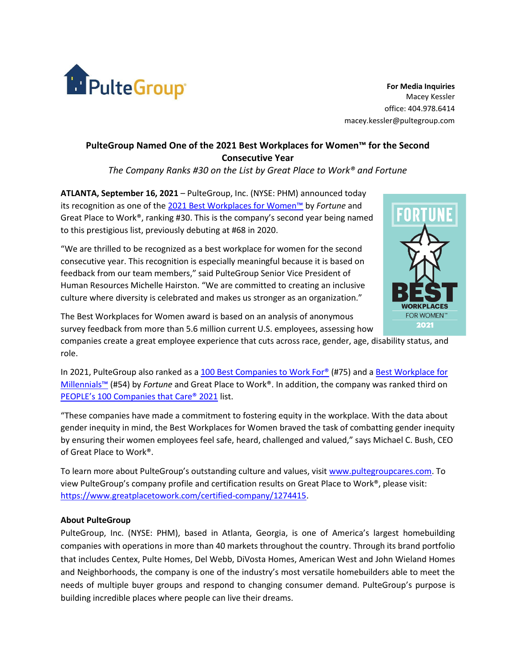

**For Media Inquiries** Macey Kessler office: 404.978.6414 macey.kessler@pultegroup.com

## **PulteGroup Named One of the 2021 Best Workplaces for Women™ for the Second Consecutive Year**

*The Company Ranks #30 on the List by Great Place to Work® and Fortune*

**ATLANTA, September 16, 2021** – PulteGroup, Inc. (NYSE: PHM) announced today its recognition as one of the [2021 Best Workplaces for Women™](https://www.greatplacetowork.com/best-workplaces/women/2021) by *Fortune* and Great Place to Work®, ranking #30. This is the company's second year being named to this prestigious list, previously debuting at #68 in 2020.

"We are thrilled to be recognized as a best workplace for women for the second consecutive year. This recognition is especially meaningful because it is based on feedback from our team members," said PulteGroup Senior Vice President of Human Resources Michelle Hairston. "We are committed to creating an inclusive culture where diversity is celebrated and makes us stronger as an organization."



The Best Workplaces for Women award is based on an analysis of anonymous survey feedback from more than 5.6 million current U.S. employees, assessing how

companies create a great employee experience that cuts across race, gender, age, disability status, and role.

In 2021, PulteGroup also ranked as a [100 Best Companies to Work For®](https://newsroom.pultegroup.com/news/pultegroup-newly-named-one-2021-fortune-100-best-companies-to-work-for.htm) (#75) and a [Best Workplace for](https://newsroom.pultegroup.com/news/pultegroup-named-best-workplace-for-millennials.htm)  [Millennials™](https://newsroom.pultegroup.com/news/pultegroup-named-best-workplace-for-millennials.htm) (#54) by *Fortune* and Great Place to Work®. In addition, the company was ranked third on [PEOPLE's 100 Companies that Care® 2021](https://newsroom.pultegroup.com/news/pultegroup-ranks-third-on-peoples-100-companies-that-care-2021-list.htm) list.

"These companies have made a commitment to fostering equity in the workplace. With the data about gender inequity in mind, the Best Workplaces for Women braved the task of combatting gender inequity by ensuring their women employees feel safe, heard, challenged and valued," says Michael C. Bush, CEO of Great Place to Work®.

To learn more about PulteGroup's outstanding culture and values, visit [www.pultegroupcares.com.](http://www.pultegroupcares.com/) To view PulteGroup's company profile and certification results on Great Place to Work®, please visit: [https://www.greatplacetowork.com/certified-company/1274415.](https://www.greatplacetowork.com/certified-company/1274415)

## **About PulteGroup**

PulteGroup, Inc. (NYSE: PHM), based in Atlanta, Georgia, is one of America's largest homebuilding companies with operations in more than 40 markets throughout the country. Through its brand portfolio that includes Centex, Pulte Homes, Del Webb, DiVosta Homes, American West and John Wieland Homes and Neighborhoods, the company is one of the industry's most versatile homebuilders able to meet the needs of multiple buyer groups and respond to changing consumer demand. PulteGroup's purpose is building incredible places where people can live their dreams.